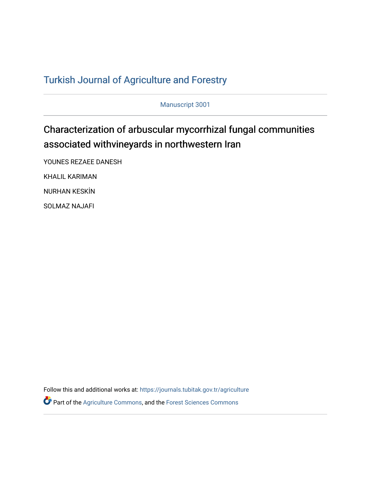## T[urkish Journal of Agriculture and F](https://journals.tubitak.gov.tr/agriculture)orestry

Manuscript 3001

# Characterization of arbuscular mycorrhizal fungal communities associated withvineyards in northwestern Iran

YOUNES REZAEE DANESH KHALIL KARIMAN NURHAN KESKİN

SOLMAZ NAJAFI

Follow this and additional works at: [https://journals.tubitak.gov.tr/agriculture](https://journals.tubitak.gov.tr/agriculture?utm_source=journals.tubitak.gov.tr%2Fagriculture%2Fvol46%2Fiss3%2F1&utm_medium=PDF&utm_campaign=PDFCoverPages)

Part of the [Agriculture Commons](https://network.bepress.com/hgg/discipline/1076?utm_source=journals.tubitak.gov.tr%2Fagriculture%2Fvol46%2Fiss3%2F1&utm_medium=PDF&utm_campaign=PDFCoverPages), and the [Forest Sciences Commons](https://network.bepress.com/hgg/discipline/90?utm_source=journals.tubitak.gov.tr%2Fagriculture%2Fvol46%2Fiss3%2F1&utm_medium=PDF&utm_campaign=PDFCoverPages)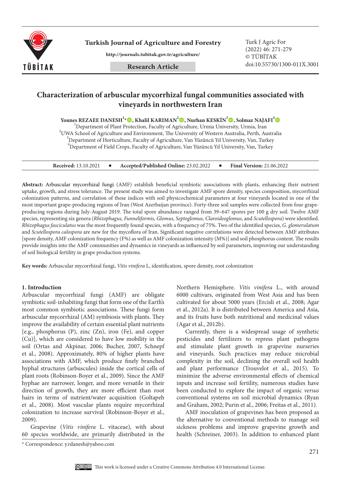

**Turkish Journal of Agriculture and Forestry Turk J Agric For** 

**http://journals.tubitak.gov.tr/agriculture/**

(2022) 46: 271-279 © TÜBİTAK doi:10.55730/1300-011X.3001

### **Characterization of arbuscular mycorrhizal fungal communities associated with vineyards in northwestern Iran**

**Younes REZAEE DANESH1 \*, Khalil KARIMAN2 , Nurhan KESKİN3 , Solmaz NAJAFI4**

<sup>1</sup>Department of Plant Protection, Faculty of Agriculture, Urmia University, Urmia, Iran Department of Plant Protection, Faculty of Agriculture, Urmia University, Urmia, Iran <sup>2</sup><br><sup>2</sup>UMA Sehool of Agriculture and Faxisonment. The University of Western Australia, Borth, At UWA School of Agriculture and Environment, The University of Western Australia, Perth, Australia <sup>3</sup>  $^3$ Department of Horticulture, Faculty of Agriculture, Van Yüzüncü Yıl University, Van, Turkey 4 Department of Field Crops, Faculty of Agriculture, Van Yüzüncü Yıl University, Van, Turkey

| Received: 13.10.2021 |  | Accepted/Published Online: 23.02.2022 |  | <b>Final Version: 21.06.2022</b> |
|----------------------|--|---------------------------------------|--|----------------------------------|
|----------------------|--|---------------------------------------|--|----------------------------------|

**Abstract:** Arbuscular mycorrhizal fungi (AMF) establish beneficial symbiotic associations with plants, enhancing their nutrient uptake, growth, and stress tolerance. The present study was aimed to investigate AMF spore density, species composition, mycorrhizal colonization patterns, and correlation of these indices with soil physicochemical parameters at four vineyards located in one of the most important grape-producing regions of Iran (West Azerbaijan province). Forty-three soil samples were collected from four grapeproducing regions during July-August 2019. The total spore abundance ranged from 39–647 spores per 100 g dry soil. Twelve AMF species, representing six genera (*Rhizophagus, Funneliformis, Glomus, Septoglomus, Claroideoglomus*, and *Scutellospora*) were identified. *Rhizophagus fasciculatus* was the most frequently found species, with a frequency of 75%. Two of the identified species, *G. glomerulatum* and *Scutellospora calospora* are new for the mycoflora of Iran. Significant negative correlations were detected between AMF attributes [spore density, AMF colonization frequency (F%) as well as AMF colonization intensity (M%)] and soil phosphorus content. The results provide insights into the AMF communities and dynamics in vineyards as influenced by soil parameters, improving our understanding of soil biological fertility in grape production systems.

**Key words:** Arbuscular mycorrhizal fungi, *Vitis vinifera* L, identification, spore density, root colonization

#### **1. Introduction**

Arbuscular mycorrhizal fungi (AMF) are obligate symbiotic soil-inhabiting fungi that form one of the Earth's most common symbiotic associations. These fungi form arbuscular mycorrhizal (AM) symbiosis with plants. They improve the availability of certain essential plant nutrients [e.g., phosphorus (P), zinc (Zn), iron (Fe), and copper (Cu)], which are considered to have low mobility in the soil (Ortas and Akpinar, 2006; Bucher, 2007, Schnepf et al., 2008). Approximately, 80% of higher plants have associations with AMF, which produce finely branched hyphal structures (arbuscules) inside the cortical cells of plant roots (Robinson-Boyer et al., 2009). Since the AMF hyphae are narrower, longer, and more versatile in their direction of growth, they are more efficient than root hairs in terms of nutrient/water acquisition (Goltapeh et al., 2008). Most vascular plants require mycorrhizal colonization to increase survival (Robinson-Boyer et al., 2009).

Grapevine (*Vitis vinifera* L. vitaceae), with about 60 species worldwide, are primarily distributed in the

Northern Hemisphere. *Vitis vinifera* L., with around 6000 cultivars, originated from West Asia and has been cultivated for about 5000 years (Ercisli et al., 2008; Agar et al., 2012a). It is distributed between America and Asia, and its fruits have both nutritional and medicinal values (Agar et al., 2012b).

Currently, there is a widespread usage of synthetic pesticides and fertilizers to repress plant pathogens and stimulate plant growth in grapevine nurseries and vineyards. Such practices may reduce microbial complexity in the soil, declining the overall soil health and plant performance (Trouvelot et al., 2015). To minimize the adverse environmental effects of chemical inputs and increase soil fertility, numerous studies have been conducted to explore the impact of organic *versus*  conventional systems on soil microbial dynamics (Ryan and Graham, 2002; Purin et al., 2006; Freitas et al., 2011).

AMF inoculation of grapevines has been proposed as the alternative to conventional methods to manage soil sickness problems and improve grapevine growth and health (Schreiner, 2003). In addition to enhanced plant

<sup>\*</sup> Correspondence: y.rdanesh@yahoo.com

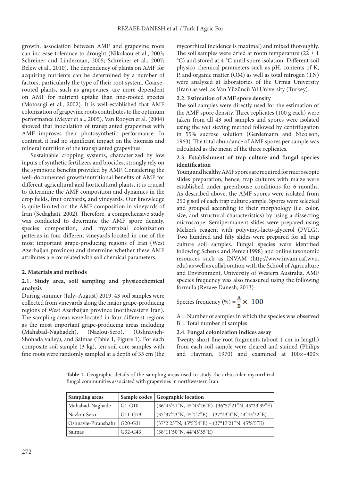growth, association between AMF and grapevine roots can increase tolerance to drought (Nikolaou et al., 2003; Schreiner and Linderman, 2005; Schreiner et al., 2007; Belew et al., 2010). The dependency of plants on AMF for acquiring nutrients can be determined by a number of factors, particularly the type of their root system. Coarserooted plants, such as grapevines, are more dependent on AMF for nutrient uptake than fine-rooted species (Motosugi et al.*,* 2002). It is well-established that AMF colonization of grapevine roots contributes to the optimum performance (Meyer et al., 2005). Van Rooyen et al. (2004) showed that inoculation of transplanted grapevines with AMF improves their photosynthetic performance. In contrast, it had no significant impact on the biomass and mineral nutrition of the transplanted grapevines.

Sustainable cropping systems, characterized by low inputs of synthetic fertilizers and biocides, strongly rely on the symbiotic benefits provided by AMF. Considering the well-documented growth/nutritional benefits of AMF for different agricultural and horticultural plants, it is crucial to determine the AMF composition and dynamics in the crop fields, fruit orchards, and vineyards. Our knowledge is quite limited on the AMF composition in vineyards of Iran (Sedaghati, 2002). Therefore, a comprehensive study was conducted to determine the AMF spore density, species composition, and mycorrhizal colonization patterns in four different vineyards located in one of the most important grape-producing regions of Iran (West Azerbaijan province) and determine whether these AMF attributes are correlated with soil chemical parameters.

#### **2. Materials and methods**

#### **2.1. Study area, soil sampling and physicochemical analysis**

During summer (July–August) 2019, 43 soil samples were collected from vineyards along the major grape-producing regions of West Azerbaijan province (northwestern Iran). The sampling areas were located in four different regions as the most important grape-producing areas including (Mahabad-Naghadeh), (Nazlou-Sero), (Oshnavieh-Shohada valley), and Salmas (Table 1, Figure 1). For each composite soil sample (3 kg), ten soil core samples with fine roots were randomly sampled at a depth of 35 cm (the

mycorrhizal incidence is maximal) and mixed thoroughly. The soil samples were dried at room temperature  $(22 \pm 1)$ °C) and stored at 4 °C until spore isolation. Different soil physico-chemical parameters such as pH, contents of K, P, and organic matter (OM) as well as total nitrogen (TN) were analyzed at laboratories of the Urmia University (Iran) as well as Van Yüzüncü Yıl University (Turkey).

#### **2.2. Estimation of AMF spore density**

The soil samples were directly used for the estimation of the AMF spore density. Three replicates (100 g each) were taken from all 43 soil samples and spores were isolated using the wet sieving method followed by centrifugation in 55% sucrose solution (Gerdemann and Nicolson, 1963). The total abundance of AMF spores per sample was calculated as the mean of the three replicates.

#### **2.3. Establishment of trap culture and fungal species identification**

Young and healthy AMF spores are required for microscopic slides preparation; hence, trap cultures with maize were established under greenhouse conditions for 6 months. As described above, the AMF spores were isolated from 250 g soil of each trap culture sample. Spores were selected and grouped according to their morphology (i.e. color, size, and structural characteristics) by using a dissecting microscope. Semipermanent slides were prepared using Melzer's reagent with polyvinyl-lacto-glycerol (PVLG). Two hundred and fifty slides were prepared for all trap culture soil samples. Fungal species were identified following Schenk and Perez (1998) and online taxonomic resources such as INVAM (http://www.invam.caf.wvu. edu) as well as collaboration with the School of Agriculture and Environment, University of Western Australia. AMF species frequency was also measured using the following formula (Rezaee Danesh, 2013):

Species frequency (%) =  $\frac{A}{R} \times 100$ 

A = Number of samples in which the species was observed  $B = Total number of samples$ 

#### **2.4. Fungal colonization indices assay**

Twenty short fine root fragments (about 1 cm in length) from each soil sample were cleared and stained (Philips and Hayman, 1970) and examined at 100×–400×

**Table 1.** Geographic details of the sampling areas used to study the arbuscular mycorrhizal fungal communities associated with grapevines in northwestern Iran.

| Sampling areas      |           | Sample codes   Geographic location                                                    |
|---------------------|-----------|---------------------------------------------------------------------------------------|
| Mahabad-Naghade     | G1-G10    | $(36^{\circ}45'51''N, 45^{\circ}43'26''E) - (36^{\circ}57'21''N, 45^{\circ}23'39''E)$ |
| Nazlou-Sero         | $G11-G19$ | $(37°37'23"N, 45°1'7"E) - (37°43'4"N, 44°45'22"E)$                                    |
| Oshnavie-Piranshahr | $G20-G31$ | $(37°2'23"N, 45°5'54"E) - (37°17'21"N, 45°8'5"E)$                                     |
| Salmas              | $G32-G43$ | (38°11'50"N, 44°45'55"E)                                                              |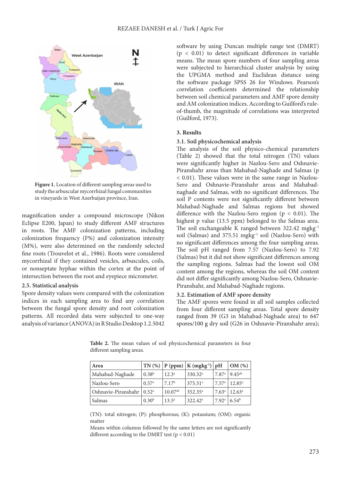

**Figure 1.** Location of different sampling areas used to study the arbuscular mycorrhizal fungal communities in vineyards in West Azerbaijan province, Iran.

magnification under a compound microscope (Nikon Eclipse E200, Japan) to study different AMF structures in roots. The AMF colonization patterns, including colonization frequency (F%) and colonization intensity (M%), were also determined on the randomly selected fine roots (Trouvelot et al., 1986). Roots were considered mycorrhizal if they contained vesicles, arbuscules, coils, or nonseptate hyphae within the cortex at the point of intersection between the root and eyepiece micrometer.

#### **2.5. Statistical analysis**

Spore density values were compared with the colonization indices in each sampling area to find any correlation between the fungal spore density and root colonization patterns. All recorded data were subjected to one-way analysis of variance (ANOVA) in R Studio Desktop 1.2.5042

software by using Duncan multiple range test (DMRT)  $(p < 0.01)$  to detect significant differences in variable means. The mean spore numbers of four sampling areas were subjected to hierarchical cluster analysis by using the UPGMA method and Euclidean distance using the software package SPSS 26 for Windows. Pearson's correlation coefficients determined the relationship between soil chemical parameters and AMF spore density and AM colonization indices. According to Guilford's ruleof-thumb, the magnitude of correlations was interpreted (Guilford, 1973).

#### **3. Results**

#### **3.1. Soil physicochemical analysis**

The analysis of the soil physico-chemical parameters (Table 2) showed that the total nitrogen (TN) values were significantly higher in Nazlou-Sero and Oshnavie-Piranshahr areas than Mahabad-Naghade and Salmas (p < 0.01). These values were in the same range in Nazlou-Sero and Oshnavie-Piranshahr areas and Mahabadnaghade and Salmas, with no significant differences. The soil P contents were not significantly different between Mahabad-Naghade and Salmas regions but showed difference with the Nazlou-Sero region ( $p < 0.01$ ). The highest p value (13.5 ppm) belonged to the Salmas area. The soil exchangeable K ranged between 322.42 mgkg–1 soil (Salmas) and 375.51 mgkg–1 soil (Nazlou-Sero) with no significant differences among the four sampling areas. The soil pH ranged from 7.57 (Nazlou-Sero) to 7.92 (Salmas) but it did not show significant differences among the sampling regions. Salmas had the lowest soil OM content among the regions, whereas the soil OM content did not differ significantly among Nazlou-Sero, Oshnavie-Piranshahr, and Mahabad-Naghade regions.

#### **3.2. Estimation of AMF spore density**

The AMF spores were found in all soil samples collected from four different sampling areas. Total spore density ranged from 39 (G3 in Mahabad-Naghade area) to 647 spores/100 g dry soil (G26 in Oshnavie-Piranshahr area);

| Area                                    |                   |                   | $\vert$ TN (%) $\vert$ P (ppm) $\vert$ K (mgkg <sup>-1</sup> ) $\vert$ pH |                   | OM(%)             |
|-----------------------------------------|-------------------|-------------------|---------------------------------------------------------------------------|-------------------|-------------------|
| Mahabad-Naghade                         | $0.38^{b}$        | 12.3 <sup>a</sup> | 330.32 <sup>a</sup>                                                       | 7.87 <sup>a</sup> | $9.45^{ab}$       |
| Nazlou-Sero                             | 0.57 <sup>a</sup> | 7.17 <sup>b</sup> | $375.51^a$                                                                | 7.57 <sup>a</sup> | $12.85^{\circ}$   |
| Oshnavie-Piranshahr   0.52 <sup>a</sup> |                   | $10.07^{ab}$      | $352.35^a$                                                                | $7.63^{\circ}$    | $12.63^{\circ}$   |
| Salmas                                  | 0.30 <sup>b</sup> | $13.5^{\circ}$    | $322.42^{\circ}$                                                          | 7.92 <sup>a</sup> | 6.54 <sup>b</sup> |

**Table 2.** The mean values of soil physicochemical parameters in four different sampling areas.

(TN): total nitrogen; (P): phosphorous; (K): potassium; (OM): organic matter

Means within columns followed by the same letters are not significantly different according to the DMRT test ( $p < 0.01$ )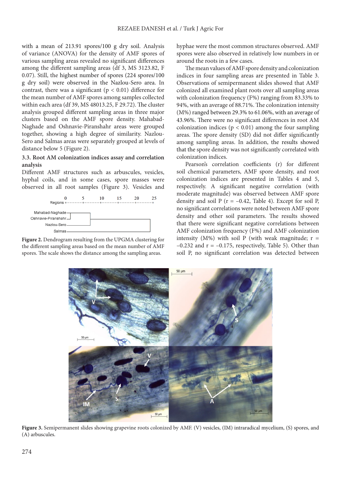with a mean of 213.91 spores/100 g dry soil. Analysis of variance (ANOVA) for the density of AMF spores of various sampling areas revealed no significant differences among the different sampling areas (df 3, MS 3123.82, F 0.07). Still, the highest number of spores (224 spores/100 g dry soil) were observed in the Nazlou-Sero area. In contrast, there was a significant ( $p < 0.01$ ) difference for the mean number of AMF spores among samples collected within each area (df 39, MS 48013.25, F 29.72). The cluster analysis grouped different sampling areas in three major clusters based on the AMF spore density. Mahabad-Naghade and Oshnavie-Piranshahr areas were grouped together, showing a high degree of similarity. Nazlou-Sero and Salmas areas were separately grouped at levels of distance below 5 (Figure 2).

#### **3.3. Root AM colonization indices assay and correlation analysis**

Different AMF structures such as arbuscules, vesicles, hyphal coils, and in some cases, spore masses were observed in all root samples (Figure 3). Vesicles and



**Figure 2.** Dendrogram resulting from the UPGMA clustering for the different sampling areas based on the mean number of AMF spores. The scale shows the distance among the sampling areas.

hyphae were the most common structures observed. AMF spores were also observed in relatively low numbers in or around the roots in a few cases.

The mean values of AMF spore density and colonization indices in four sampling areas are presented in Table 3. Observations of semipermanent slides showed that AMF colonized all examined plant roots over all sampling areas with colonization frequency (F%) ranging from 83.33% to 94%, with an average of 88.71%. The colonization intensity (M%) ranged between 29.3% to 61.06%, with an average of 43.96%. There were no significant differences in root AM colonization indices ( $p < 0.01$ ) among the four sampling areas. The spore density (SD) did not differ significantly among sampling areas. In addition, the results showed that the spore density was not significantly correlated with colonization indices.

Pearson's correlation coefficients (r) for different soil chemical parameters, AMF spore density, and root colonization indices are presented in Tables 4 and 5, respectively. A significant negative correlation (with moderate magnitude) was observed between AMF spore density and soil P ( $r = -0.42$ , Table 4). Except for soil P, no significant correlations were noted between AMF spore density and other soil parameters. The results showed that there were significant negative correlations between AMF colonization frequency (F%) and AMF colonization intensity (M%) with soil P (with weak magnitude;  $r =$  $-0.232$  and  $r = -0.175$ , respectively, Table 5). Other than soil P, no significant correlation was detected between



Figure 3. Semipermanent slides showing grapevine roots colonized by AMF. (V) vesicles, (IM) intraradical mycelium, (S) spores, and (A) arbuscules.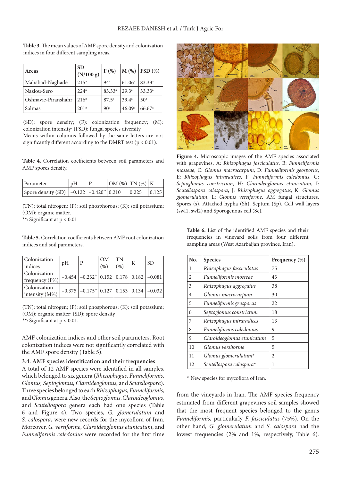| Areas               | <b>SD</b><br>(N/100 g) | $F(\%)$            |                    | $M$ (%) FSD (%)      |
|---------------------|------------------------|--------------------|--------------------|----------------------|
| Mahabad-Naghade     | $215^a$                | 94 <sup>a</sup>    | 61.06 <sup>a</sup> | $83.33^{a}$          |
| Nazlou-Sero         | 224 <sup>a</sup>       | 83.33 <sup>a</sup> | 29.3 <sup>a</sup>  | $33.33^{a}$          |
| Oshnavie-Piranshahr | 216 <sup>a</sup>       | $87.5^{\circ}$     | 39.4 <sup>a</sup>  | 50 <sup>a</sup>      |
| Salmas              | 201 <sup>a</sup>       | 90 <sup>a</sup>    | 46.09a             | $66.67$ <sup>a</sup> |

**Table 3.** The mean values of AMF spore density and colonization indices in four different sampling areas.

(SD): spore density; (F): colonization frequency; (M): colonization intensity; (FSD): fungal species diversity. Means within columns followed by the same letters are not significantly different according to the DMRT test ( $p < 0.01$ ).

**Table 4.** Correlation coefficients between soil parameters and AMF spores density.

| Parameter                                                                    | pH | D | $\left  \text{OM } (\%)\right  \text{TN } (\%)\right  K$ |       |       |
|------------------------------------------------------------------------------|----|---|----------------------------------------------------------|-------|-------|
| Spore density (SD) $\vert$ -0.122 $\vert$ -0.420 <sup>**</sup> $\vert$ 0.210 |    |   |                                                          | 0.225 | 0.125 |

**(**TN): total nitrogen; (P): soil phosphorous; (K): soil potassium; (OM): organic matter.

\*\*: Significant at p < 0.01

**Table 5.** Correlation coefficients between AMF root colonization indices and soil parameters.

| Colonization<br>indices              | pH | P                                                                                        | <b>OM</b><br>(96) | <b>TN</b><br>(96) | K | <b>SD</b> |
|--------------------------------------|----|------------------------------------------------------------------------------------------|-------------------|-------------------|---|-----------|
| Colonization<br>$ $ frequency $(F%)$ |    | $-0.454$ $-0.232$ <sup>**</sup> $\vert$ 0.152 $\vert$ 0.178 $\vert$ 0.182 $\vert$ -0.081 |                   |                   |   |           |
| Colonization<br>intensity (M%)       |    | $-0.375$ $-0.175$ <sup>**</sup> $\vert 0.127 \vert 0.153 \vert 0.134 \vert -0.032$       |                   |                   |   |           |

(TN): total nitrogen; (P): soil phosphorous; (K): soil potassium; (OM): organic matter; (SD): spore density

\*\*: Significant at p < 0.01.

AMF colonization indices and other soil parameters. Root colonization indices were not significantly correlated with the AMF spore density (Table 5).

#### **3.4. AMF species identification and their frequencies**

A total of 12 AMF species were identified in all samples, which belonged to six genera (*Rhizophagus, Funneliformis, Glomus, Septoglomus, Claroideoglomus*, and *Scutellospora*). Three species belonged to each *Rhizophagus, Funneliformis*, and *Glomus* genera. Also, the *Septoglomus, Claroideoglomus*, and *Scutellospora* genera each had one species (Table 6 and Figure 4). Two species, *G. glomerulatum* and *S. calospora*, were new records for the mycoflora of Iran. Moreover, *G. versiforme*, *Claroideoglomus etunicatum*, and *Funneliformis caledonius* were recorded for the first time



**Figure 4.** Microscopic images of the AMF species associated with grapevines, A: *Rhizophagus fasciculatus*, B: *Funneliformis mosseae*, C: *Glomus macrocarpum*, D: *Funneliformis geosporus*, E: *Rhizophagus intraradices,* F: *Funneliformis caledonius*, G: *Septoglomus constrictum*, H: *Claroideoglomus etunicatum*, I: *Scutellospora calospora*, J: *Rhizophagus aggregatus*, K: *Glomus glomerulatum*, L: *Glomus versiforme*. AM fungal structures, Spores (s), Attached hypha (Sh), Septum (Sp), Cell wall layers (swl1, swl2) and Sporogenous cell (Sc).

**Table 6.** List of the identified AMF species and their frequencies in vineyard soils from four different sampling areas (West Azarbaijan province, Iran).

| No.            | <b>Species</b>             | Frequency (%) |
|----------------|----------------------------|---------------|
| 1              | Rhizophagus fasciculatus   | 75            |
| $\overline{c}$ | Funneliformis mosseae      | 43            |
| 3              | Rhizophagus aggregatus     | 38            |
| 4              | Glomus macrocarpum         | 30            |
| 5              | Funneliformis geosporus    | 22            |
| 6              | Septoglomus constrictum    | 18            |
| 7              | Rhizophagus intraradices   | 13            |
| 8              | Funneliformis caledonius   | 9             |
| 9              | Claroideoglomus etunicatum | 5             |
| 10             | Glomus versiforme          | 5             |
| 11             | Glomus glomerulatum*       | 2             |
| 12             | Scutellospora calospora*   | 1             |

\* New species for mycoflora of Iran.

from the vineyards in Iran. The AMF species frequency estimated from different grapevines soil samples showed that the most frequent species belonged to the genus *Funneliformis,* particularly *F. fasciculatus* (75%). On the other hand, *G. glomerulatum* and *S. calospora* had the lowest frequencies (2% and 1%, respectively, Table 6).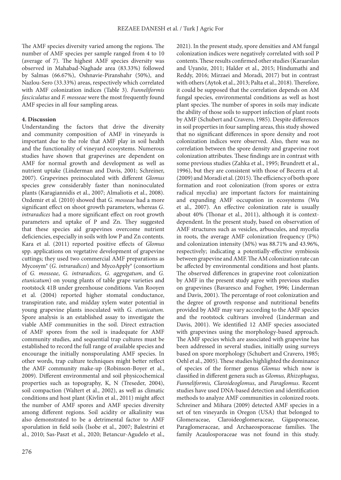The AMF species diversity varied among the regions. The number of AMF species per sample ranged from 4 to 10 (average of 7). The highest AMF species diversity was observed in Mahabad-Naghade area (83.33%) followed by Salmas (66.67%), Oshnavie-Piranshahr (50%), and Nazlou-Sero (33.33%) areas, respectively which correlated with AMF colonization indices (Table 3). *Funneliformis fasciculatus* and *F. mosseae* were the most frequently found AMF species in all four sampling areas.

#### **4. Discussion**

Understanding the factors that drive the diversity and community composition of AMF in vineyards is important due to the role that AMF play in soil health and the functionality of vineyard ecosystems. Numerous studies have shown that grapevines are dependent on AMF for normal growth and development as well as nutrient uptake (Linderman and Davis, 2001; Schreiner, 2007). Grapevines preinoculated with different *Glomus*  species grew considerably faster than noninoculated plants (Karagiannidis et al., 2007; Almaliotis et al., 2008). Ozdemir et al. (2010) showed that *G. mosseae* had a more significant effect on shoot growth parameters, whereas *G*. *intraradices* had a more significant effect on root growth parameters and uptake of P and Zn. They suggested that these species aid grapevines overcome nutrient deficiencies, especially in soils with low P and Zn contents. Kara et al. (2011) reported positive effects of *Glomus*  spp. applications on vegetative development of grapevine cuttings; they used two commercial AMF preparations as Mycosym® (*G. intraradices*) and MycoApply® (consortium of *G. mosseae*, *G. intraradices*, *G. aggregatum*, and *G. etunicatum*) on young plants of table grape varieties and rootstock 41B under greenhouse conditions. Van Rooyen et al. (2004) reported higher stomatal conductance, transpiration rate, and midday xylem water potential in young grapevine plants inoculated with *G. etunicatum.*  Spore analysis is an established assay to investigate the viable AMF communities in the soil. Direct extraction of AMF spores from the soil is inadequate for AMF community studies, and sequential trap cultures must be established to record the full range of available species and encourage the initially nonsporulating AMF species. In other words, trap culture techniques might better reflect the AMF community make-up (Robinson-Boyer et al., 2009). Different environmental and soil physicochemical properties such as topography, K, N (Treseder, 2004), soil compaction (Waltert et al., 2002), as well as climatic conditions and host plant (Kivlin et al., 2011) might affect the number of AMF spores and AMF species diversity among different regions. Soil acidity or alkalinity was also demonstrated to be a detrimental factor to AMF sporulation in field soils (Isobe et al., 2007; Balestrini et al., 2010; Sas-Paszt et al., 2020; Betancur-Agudelo et al.,

2021). In the present study, spore densities and AM fungal colonization indices were negatively correlated with soil P contents. These results confirmed other studies (Karaarslan and Uyanöz, 2011; Halder et al., 2015; Hindumathi and Reddy, 2016; Mirzaei and Moradi, 2017) but in contrast with others (Aytok et al., 2013; Palta et al., 2018). Therefore, it could be supposed that the correlation depends on AM fungal species, environmental conditions as well as host plant species. The number of spores in soils may indicate the ability of those soils to support infection of plant roots by AMF (Schubert and Cravero, 1985). Despite differences in soil properties in four sampling areas, this study showed that no significant differences in spore density and root colonization indices were observed. Also, there was no correlation between the spore density and grapevine root colonization attributes. These findings are in contrast with some previous studies (Zahka et al., 1995; Brundrett et al., 1996), but they are consistent with those of Becerra et al. (2009) and Moradi et al. (2015). The efficiency of both spore formation and root colonization (from spores or extra radical mycelia) are important factors for maintaining and expanding AMF occupation in ecosystems (Wu et al., 2007). An effective colonization rate is usually about 40% (Thonar et al., 2011), although it is contextdependent. In the present study, based on observation of AMF structures such as vesicles, arbuscules, and mycelia in roots, the average AMF colonization frequency (F%) and colonization intensity (M%) was 88.71% and 43.96%, respectively; indicating a potentially-effective symbiosis between grapevine and AMF. The AM colonization rate can be affected by environmental conditions and host plants. The observed differences in grapevine root colonization by AMF in the present study agree with previous studies on grapevines (Bavaresco and Fogher, 1996; Linderman and Davis, 2001). The percentage of root colonization and the degree of growth response and nutritional benefits provided by AMF may vary according to the AMF species and the rootstock cultivars involved (Linderman and Davis, 2001). We identified 12 AMF species associated with grapevines using the morphology-based approach. The AMF species which are associated with grapevine has been addressed in several studies, initially using surveys based on spore morphology (Schubert and Cravero, 1985; Oehl et al., 2005). These studies highlighted the dominance of species of the former genus *Glomus* which now is classified in different genera such as *Glomus, Rhizophagus, Funneliformis, Claroideoglomus*, and *Paraglomus*. Recent studies have used DNA-based detection and identification methods to analyze AMF communities in colonized roots. Schreiner and Mihara (2009) detected AMF species in a set of ten vineyards in Oregon (USA) that belonged to Glomeraceae, Claroideoglomeraceae, Gigasporaceae, Paraglomeraceae, and Archaeosporaceae families. The family Acaulosporaceae was not found in this study.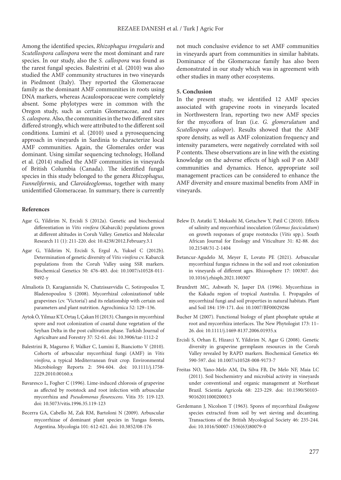Among the identified species, *Rhizophagus irregularis* and *Scutellospora callospora* were the most dominant and rare species. In our study, also the *S. callospora* was found as the rarest fungal species. Balestrini et al. (2010) was also studied the AMF community structures in two vineyards in Piedmont (Italy). They reported the Glomeraceae family as the dominant AMF communities in roots using DNA markers, whereas Acaulosporaceae were completely absent. Some phylotypes were in common with the Oregon study, such as certain Glomeraceae, and rare *S. calospora*. Also, the communities in the two different sites differed strongly, which were attributed to the different soil conditions. Lumini et al. (2010) used a pyrosequencing approach in vineyards in Sardinia to characterize local AMF communities. Again, the Glomerales order was dominant. Using similar sequencing technology, Holland et al. (2014) studied the AMF communities in vineyards of British Columbia (Canada). The identified fungal species in this study belonged to the genera *Rhizophagus, Funneliformis,* and *Claroideoglomus*, together with many unidentified Glomeraceae. In summary, there is currently

#### **References**

- Agar G, Yildirim N, Ercisli S (2012a). Genetic and biochemical differentiation in *Vitis vinifera* (Kabarcik) populations grown at different altitudes in Coruh Valley. Genetics and Molecular Research 11 (1): 211-220. doi: 10.4238/2012.February.3.1
- Agar G, Yildirim N, Ercisli S, Ergul A, Yuksel C (2012b). Determination of genetic diversity of *Vitis vinifera* cv. Kabarcik populations from the Coruh Valley using SSR markers. Biochemical Genetics 50: 476-483. doi: 10.1007/s10528-011- 9492-y
- Almaliotis D, Karagiannidis N, Chatzissavvidis C, Sotiropoulos T, Bladenopoulou S (2008). Mycorrhizal colonizationof table grapevines (cv. 'Victoria') and its relationship with certain soil parameters and plant nutrition. Agrochimica 52: 129–136.
- Aytok Ö, Yilmaz KT, Ortaş I, Çakan H (2013). Changes in mycorrhizal spore and root colonization of coastal dune vegetation of the Seyhan Delta in the post cultivation phase. Turkish Journal of Agriculture and Forestry 37: 52-61. doi: 10.3906/tar-1112-2
- Balestrini R, Magurno F, Walker C, Lumini E, Bianciotto V (2010). Cohorts of arbuscular mycorrhizal fungi (AMF) in *Vitis vinifera*, a typical Mediterranean fruit crop. Environmental Microbiology Reports 2: 594-604. doi: 10.1111/j.1758- 2229.2010.00160.x
- Bavaresco L, Fogher C (1996). Lime-induced chlorosis of grapevine as affected by rootstock and root infection with arbuscular mycorrhiza and *Pseudomonas flourescens*. Vitis 35: 119-123. doi: 10.5073/vitis.1996.35.119-123
- Becerra GA, Cabello M, Zak RM, Bartoloni N (2009). Arbuscular mycorrhizae of dominant plant species in Yungas forests, Argentina. Mycologia 101: 612-621. doi: 10.3852/08-176

not much conclusive evidence to set AMF communities in vineyards apart from communities in similar habitats. Dominance of the Glomeraceae family has also been demonstrated in our study which was in agreement with other studies in many other ecosystems.

#### **5. Conclusion**

In the present study, we identified 12 AMF species associated with grapevine roots in vineyards located in Northwestern Iran, reporting two new AMF species for the mycoflora of Iran (i.e. *G. glomerulatum* and *Scutellospora calospor*). Results showed that the AMF spore density, as well as AMF colonization frequency and intensity parameters, were negatively correlated with soil P contents. These observations are in line with the existing knowledge on the adverse effects of high soil P on AMF communities and dynamics. Hence, appropriate soil management practices can be considered to enhance the AMF diversity and ensure maximal benefits from AMF in vineyards.

- Belew D, Astatki T, Mokashi M, Getachew Y, Patil C (2010). Effects of salinity and mycorrhizal inoculation (*Glomus fasciculatum*) on growth responses of grape rootstocks (*Vitis* spp.). South African Journal for Enology and Viticulture 31: 82-88. doi: 10.21548/31-2-1404
- Betancur-Agudelo M, Meyer E, Lovato PE (2021). Arbuscular mycorrhizal fungus richness in the soil and root colonization in vineyards of different ages. Rhizosphere 17: 100307. doi: 10.1016/j.rhisph.2021.100307
- Brundrett MC, Ashwath N, Jasper DA (1996). Mycorrhizas in the Kakadu region of tropical Australia. I. Propagules of mycorrhizal fungi and soil properties in natural habitats. Plant and Soil 184: 159-171. doi: 10.1007/BF00029286
- Bucher M (2007). Functional biology of plant phosphate uptake at root and mycorrhiza interfaces. The New Phytologist 173: 11– 26. doi: 10.1111/j.1469-8137.2006.01935.x
- Ercisli S, Orhan E, Hizarci Y, Yildirim N, Agar G (2008). Genetic diversity in grapevine germplasm resources in the Coruh Valley revealed by RAPD markers. Biochemical Genetics 46: 590-597. doi: 10.1007/s10528-008-9173-7
- Freitas NO, Yano-Melo AM, Da Silva FB, De Melo NF, Maia LC (2011). Soil biochemistry and microbial activity in vineyards under conventional and organic management at Northeast Brazil. Scientia Agricola 68: 223-229. doi: 10.1590/S0103- 90162011000200013
- Gerdemann J, Nicolson T (1963). Spores of mycorrhizal *Endogone* species extracted from soil by wet sieving and decanting. Transactions of the British Mycological Society 46: 235-244. doi: 10.1016/S0007-1536(63)80079-0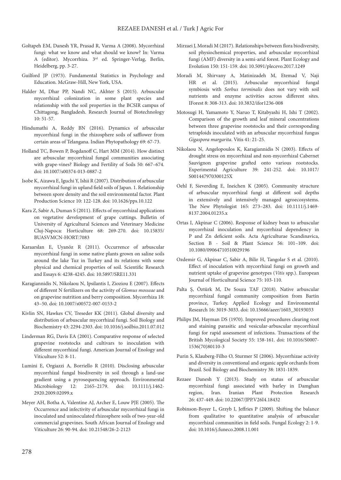- Goltapeh EM, Danesh YR, Prasad R, Varma A (2008). Mycorrhizal fungi: what we know and what should we know? In: Varma A (editor). Mycorrhiza*.* 3rd ed. Springer-Verlag, Berlin, Heidelberg, pp. 3-27.
- Guilford JP (1973). Fundamental Statistics in Psychology and Education. McGraw-Hill, New York, USA.
- Halder M, Dhar PP, Nandi NC, Akhter S (2015). Arbuscular mycorrhizal colonization in some plant species and relationship with the soil properties in the BCSIR campus of Chittagong, Bangladesh. Research Journal of Biotechnology 10: 51-57.
- Hindumathi A, Reddy BN (2016). Dynamics of arbuscular mycorrhizal fungi in the rhizosphere soils of safflower from certain areas of Telangana. Indian Phytopathology 69: 67-73.
- Holland TC, Bowen P, Bogdanoff C, Hart MM (2014). How distinct are arbuscular mycorrhizal fungal communities associating with grape-vines? Biology and Fertility of Soils 50: 667–674. doi: 10.1007/s00374-013-0887-2
- Isobe K, Aizawa E, Iguchi Y, Ishii R (2007). Distribution of arbuscular mycorrhizal fungi in upland field soils of Japan. 1. Relationship between spore density and the soil environmental factor. Plant Production Science 10: 122-128. doi: 10.1626/pps.10.122
- Kara Z, Sabir A, Duman S (2011). Effects of mycorrhizal applications on vegetative development of grape cuttings. Bulletin of University of Agricultural Sciences and Veterinary Medicine Cluj-Napoca: Horticulture 68: 269-270. doi: 10.15835/ BUASVMCN-HORT:7083
- Karaarslan E, Uyanöz R (2011). Occurrence of arbuscular mycorrhizal fungi in some native plants grown on saline soils around the lake Tuz in Turkey and its relations with some physical and chemical properties of soil. Scientific Research and Essays 6: 4238-4245. doi: 10.5897/SRE11.331
- Karagiannidis N, Nikolaou N, Ipsilantis I, Zioziou E (2007). Effects of different N fertilizers on the activity of *Glomus mosseae* and on grapevine nutrition and berry composition. Mycorrhiza 18: 43–50. doi: 10.1007/s00572-007-0153-2
- Kivlin SN, Hawkes CV, Treseder KK (2011). Global diversity and distribution of arbuscular mycorrhizal fungi. Soil Biology and Biochemistry 43: 2294-2303. doi: 10.1016/j.soilbio.2011.07.012
- Linderman RG, Davis EA (2001). Comparative response of selected grapevine rootstocks and cultivars to inoculation with different mycorrhizal fungi. American Journal of Enology and Viticulture 52: 8-11.
- Lumini E, Orgiazzi A, Borriello R (2010). Disclosing arbuscular mycorrhizal fungal biodiversity in soil through a land-use gradient using a pyrosequencing approach. Environmental Microbiology 12: 2165–2179. doi: 10.1111/j.1462- 2920.2009.02099.x
- Meyer AH, Botha A, Valentine AJ, Archer E, Louw PJE (2005). The Occurrence and infectivity of arbuscular mycorrhizal fungi in inoculated and uninoculated rhizosphere soils of two-year-old commercial grapevines. South African Journal of Enology and Viticulture 26: 90-94. doi: 10.21548/26-2-2123
- Mirzaei J, Moradi M (2017). Relationships between flora biodiversity, soil physiochemical properties, and arbuscular mycorrhizal fungi (AMF) diversity in a semi-arid forest. Plant Ecology and Evolution 150: 151-159. doi: 10.5091/plecevo.2017.1249
- Moradi M, Shirvany A, Matinizadeh M, Etemad V, Naji HR et al. (2015). Arbuscular mycorrhizal fungal symbiosis with *Sorbus torminalis* does not vary with soil nutrients and enzyme activities across different sites. IForest 8: 308-313. doi: 10.3832/ifor1236-008
- Motosugi H, Yamamoto Y, Naruo T, Kitabyashi H, Ishi T (2002). Comparison of the growth and leaf mineral concentrations between three grapevine rootstocks and their corresponding tetraploids inoculated with an arbuscular mycorrhizal fungus *Gigaspora margarita*. Vitis 41: 21-25.
- Nikolaou N, Angelopoulos K, Karagiannidis N (2003). Effects of drought stress on mycorrhizal and non-mycorrhizal Cabernet Sauvignon grapevine grafted onto various rootstocks. Experimental Agriculture 39: 241-252. doi: 10.1017/ S001447970300125X
- Oehl F, Sieverding E, Ineichen K (2005). Community structure of arbuscular mycorrhizal fungi at different soil depths in extensively and intensively managed agroecosystems. The New Phytologist 165: 273–283. doi: 10.1111/j.1469- 8137.2004.01235.x
- Ortas I, Akpinar C (2006). Response of kidney bean to arbuscular mycorrhizal inoculation and mycorrhizal dependency in P and Zn deficient soils. Acta Agriculturae Scandinavica, Section B - Soil & Plant Science 56: 101–109. doi: 10.1080/09064710510029196
- Ozdemir G, Akpinar C, Sabir A, Bilir H, Tangolar S et al. (2010). Effect of inoculation with mycorrhizal fungi on growth and nutrient uptake of grapevine genotypes (*Vitis* spp.). European Journal of Horticultural Science 75: 103-110.
- Palta Ş, Öztürk M, De Souza TAF (2018). Native arbuscular mycorrhizal fungal community composition from Bartin province, Turkey. Applied Ecology and Environmental Research 16: 3019-3033. doi: 10.15666/aeer/1603\_30193033
- Philips JM, Hayman DS (1970). Improved procedures clearing root and staining parasitic and vesicular-arbuscular mycorrhizal fungi for rapid assessment of infections. Transactions of the British Mycological Society 55: 158-161. doi: 10.1016/S0007- 1536(70)80110-3
- Purin S, Klauberg-Filho O, Sturmer SI (2006). Mycorrhizae activity and diversity in conventional and organic apple orchards from Brazil. Soil Biology and Biochemistry 38: 1831-1839.
- Rezaee Danesh Y (2013). Study on status of arbuscular mycorrhizal fungi associated with barley in Damghan region, Iran. Iranian Plant Protection Research 26: 437-449. doi: 10.22067/JPP.V26I4.18432
- Robinson-Boyer L, Grzyb I, Jeffries P (2009). Shifting the balance from qualitative to quantitative analysis of arbuscular mycorrhizal communities in field soils. Fungal Ecology 2: 1-9. doi: 10.1016/j.funeco.2008.11.001